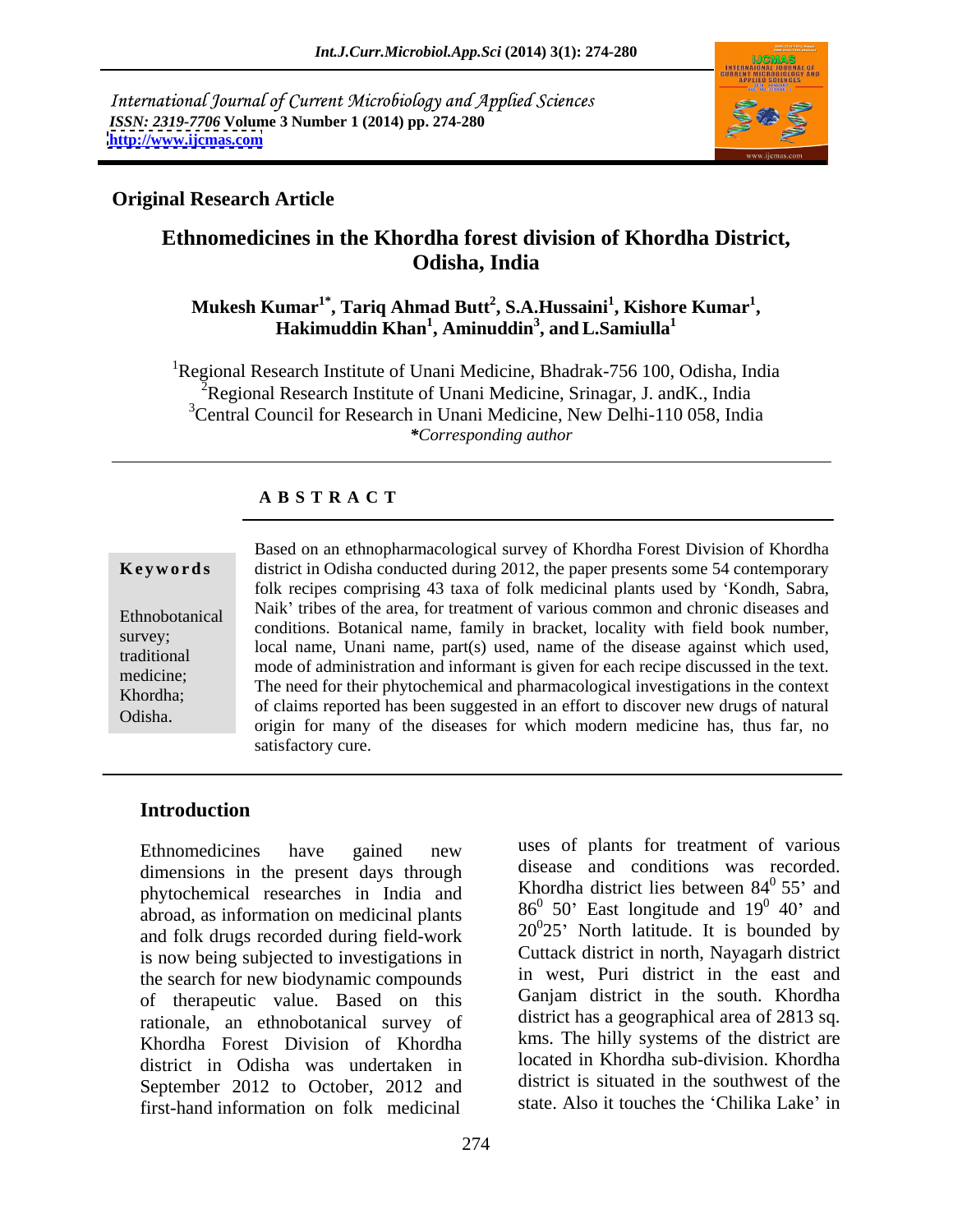International Journal of Current Microbiology and Applied Sciences *ISSN: 2319-7706* **Volume 3 Number 1 (2014) pp. 274-280 <http://www.ijcmas.com>**



### **Original Research Article**

# **Ethnomedicines in the Khordha forest division of Khordha District, Odisha, India**

### $\mathbf{M}$ ukesh  $\mathbf{K}$ umar $^{1^*},$  Tariq Ahmad Butt $^2$ , S.A.Hussaini $^1$ , Kishore  $\mathbf{K}$ umar $^1,$ **, Kishore Kumar<sup>1</sup>** umar<sup>1</sup>°, Tariq Ahmad Butt<sup>2</sup>, S.A.Hussaini<sup>1</sup>, Kishore Kumar<sup>1</sup>,<br>Hakimuddin Khan<sup>1</sup>, Aminuddin<sup>3</sup>, and L.Samiulla<sup>1</sup> **, andL.Samiulla<sup>1</sup>**

<sup>1</sup>Regional Research Institute of Unani Medicine, Bhadrak-756 100, Odisha, India  $\widetilde{P}$ Regional Research Institute of Unani Medicine, Srinagar, J. and K., India <sup>3</sup>Central Council for Research in Unani Medicine, New Delhi-110 058, India *\*Corresponding author* 

### **A B S T R A C T**

**Ke ywo rds** district in Odisha conducted during 2012, the paper presents some 54 contemporary Ethnobotanical Naik' tribes of the area, for treatment of various common and chronic diseases and<br>Ethnobotanical national Detection and contract the little with field had recepted survey;<br>local name, Unani name, part(s) used, name of the disease against which used, traditional mode of administration and informant is given for each recipe discussed in the text. medicine;<br>
The need for their phytochemical and pharmacological investigations in the context<br>
The need for their phytochemical and pharmacological investigations in the context Khordha;<br>
of claims reported has been suggested in an effort to discover new drugs of natural Based on an ethnopharmacological survey of Khordha Forest Division of Khordha<br>district in Odisha conducted during 2012, the paper presents some 54 contemporary<br>folk recipes comprising 43 taxa of folk medicinal plants used folk recipes comprising 43 taxa of folk medicinal plants used by 'Kondh, Sabra, conditions. Botanical name, family in bracket, locality with field book number, origin for many of the diseases for which modern medicine has, thus far, no satisfactory cure.

## **Introduction**

Ethnomedicines have gained new uses of plants for treatment of various dimensions in the present days through phytochemical researches in India and abroad, as information on medicinal plants and folk drugs recorded during field-work is now being subjected to investigations in the search for new biodynamic compounds of therapeutic value. Based on this rationale, an ethnobotanical survey of Khordha Forest Division of Khordha district in Odisha was undertaken in September 2012 to October, 2012 and first-hand information on folk medicinal

uses of plants for treatment of various disease and conditions was recorded. Khordha district lies between  $84^{\circ}$  55' and  $0\,55'$  and  $86^0$  50' East longitude and  $19^0$  40' and  $0$   $(0)$  and  $40'$  and  $20^0$ 25' North latitude. It is bounded by Cuttack district in north, Nayagarh district in west, Puri district in the east and Ganjam district in the south. Khordha district has a geographical area of 2813 sq. kms. The hilly systems of the district are located in Khordha sub-division. Khordha district is situated in the southwest of the state. Also it touches the 'Chilika Lake' in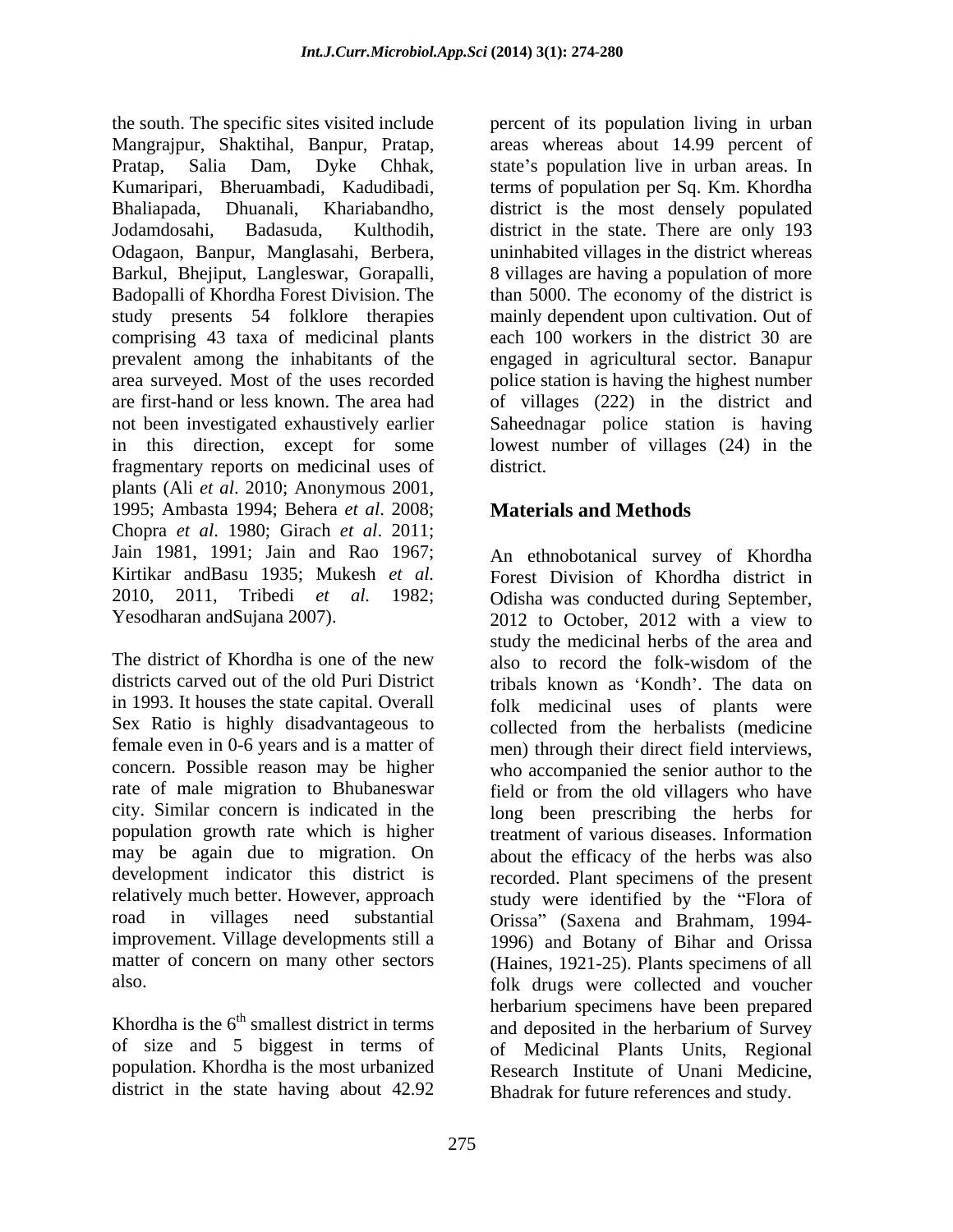the south. The specific sites visited include percent of its population living in urban Mangrajpur, Shaktihal, Banpur, Pratap, areas whereas about 14.99 percent of Pratap, Salia Dam, Dyke Chhak, state's population live in urban areas. In Kumaripari, Bheruambadi, Kadudibadi, terms of population per Sq. Km. Khordha Bhaliapada, Dhuanali, Khariabandho, district is the most densely populated Jodamdosahi, Badasuda, Kulthodih, district in the state. There are only 193 Odagaon, Banpur, Manglasahi, Berbera, uninhabited villages in the district whereas Barkul, Bhejiput, Langleswar, Gorapalli, 8 villages are having a population of more Badopalli of Khordha Forest Division. The than 5000. The economy of the district is study presents 54 folklore therapies mainly dependent upon cultivation. Out of comprising 43 taxa of medicinal plants prevalent among the inhabitants of the engaged in agricultural sector. Banapur area surveyed. Most of the uses recorded police station is having the highest number are first-hand or less known. The area had of villages (222) in the district and not been investigated exhaustively earlier Saheednagar police station is having in this direction, except for some lowest number of villages (24) in the fragmentary reports on medicinal uses of plants (Ali *et al*. 2010; Anonymous 2001, 1995; Ambasta 1994; Behera *et al*. 2008; Chopra *et al*. 1980; Girach *et al*. 2011; Jain 1981, 1991; Jain and Rao 1967; An ethnobotanical survey of Khordha Kirtikar andBasu 1935; Mukesh *et al.* Forest Division of Khordha district in 2010, 2011, Tribedi *et al.* 1982; Odisha was conducted during September, Yesodharan and Sujana 2007). 2012 to October, 2012 with a view to

The district of Khordha is one of the new also to record the folk-wisdom of the Sex Ratio is highly disadvantageous to

population. Khordha is the most urbanized<br>district in the state having about 42.92<br>Rhadrak for future references and study

each 100 workers in the district 30 are district.

# **Materials and Methods**

districts carved out of the old Puri District tribals known as 'Kondh'. The data on in 1993. It houses the state capital. Overall folk medicinal uses of plants were female even in 0-6 years and is a matter of men) through their direct field interviews, concern. Possible reason may be higher who accompanied the senior author to the rate of male migration to Bhubaneswar field or from the old villagers who have city. Similar concern is indicated in the long been prescribing the herbs for population growth rate which is higher treatment of various diseases. Information may be again due to migration. On about the efficacy of the herbs was also development indicator this district is recorded. Plant specimens of the present relatively much better. However, approach study were identified by the "Flora of road in villages need substantial Orissa" (Saxena and Brahmam, 1994improvement. Village developments still a 1996) and Botany of Bihar and Orissa matter of concern on many other sectors (Haines, 1921-25). Plants specimens of all also. folk drugs were collected and voucher  $\frac{1}{2}$ Khordha is the  $6<sup>th</sup>$  smallest district in terms and deposited in the herbarium of Survey of size and 5 biggest in terms of of Medicinal Plants Units, Regional Bhadrak for future references and study. 2012 to October, 2012 with a view to study the medicinal herbs of the area and also to record the folk-wisdom of the collected from the herbalists (medicine herbarium specimens have been prepared and deposited in the herbarium of Survey Research Institute of Unani Medicine,<br>Bhadrak for future references and study.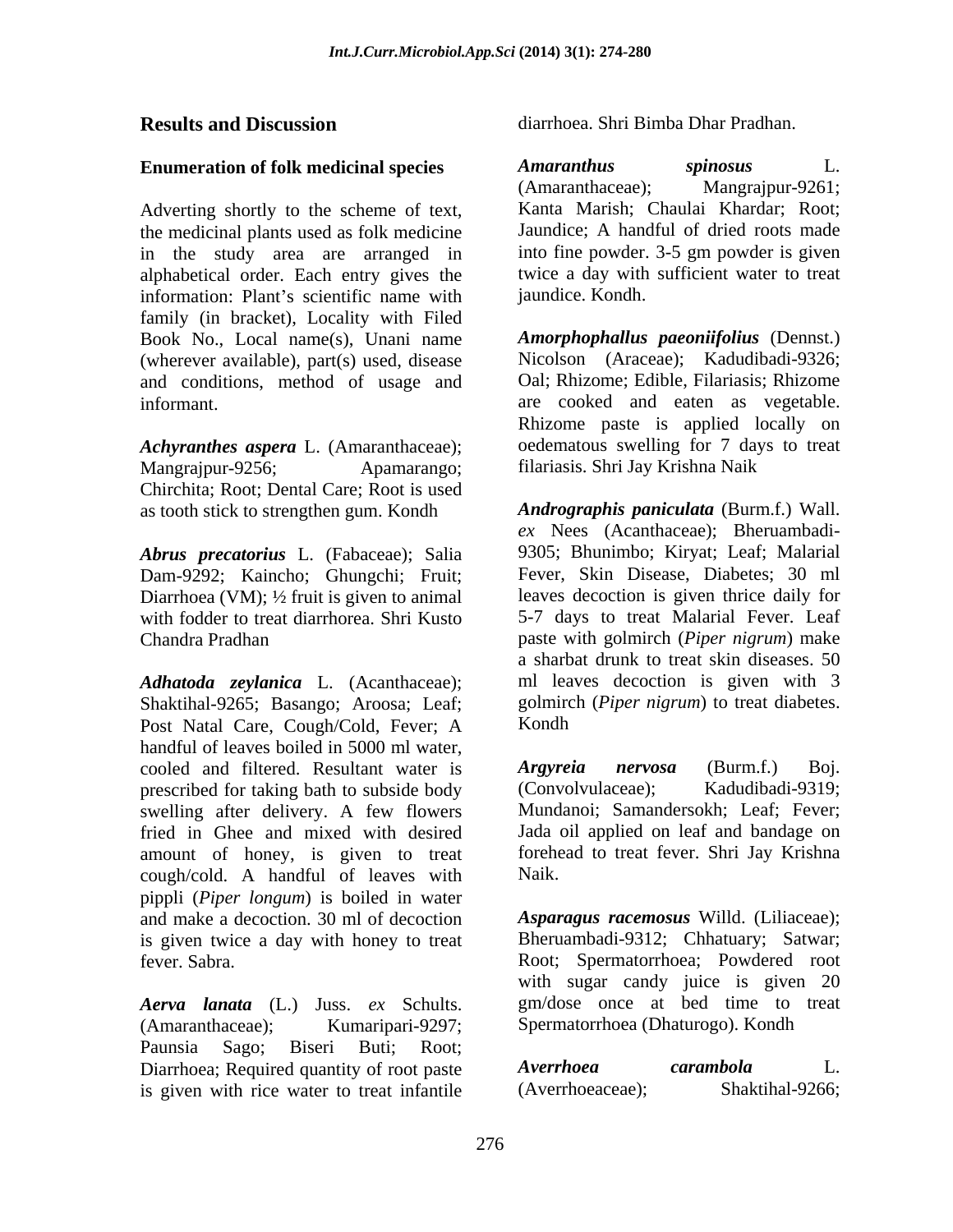Adverting shortly to the scheme of text, the medicinal plants used as folk medicine in the study area are arranged in alphabetical order. Each entry gives the information: Plant's scientific name with family (in bracket), Locality with Filed Book No., Local name(s), Unani name (wherever available), part(s) used, disease and conditions, method of usage and

*Achyranthes aspera* L. (Amaranthaceae); Mangrajpur-9256; Apamarango; filariasis. Shri Jay Krishna Naik Chirchita; Root; Dental Care; Root is used

*Abrus precatorius* L. (Fabaceae); Salia Dam-9292; Kaincho; Ghungchi; Fruit; Diarrhoea (VM); ½ fruit is given to animal

*Adhatoda zeylanica* L. (Acanthaceae); Shaktihal-9265; Basango; Aroosa; Leaf; Post Natal Care, Cough/Cold, Fever; A Kondh handful of leaves boiled in 5000 ml water, cooled and filtered. Resultant water is **Argyreia nervosa** (Burm.f.) Boj.<br>
prescribed for taking bath to subside body (Convolvulaceae): Kadudibadi-9319: prescribed for taking bath to subside body swelling after delivery. A few flowers fried in Ghee and mixed with desired amount of honey, is given to treat foreher<br>cough/cold A handful of leaves with Naik. cough/cold. A handful of leaves with pippli (*Piper longum*) is boiled in water and make a decoction. 30 ml of decoction is given twice a day with honey to treat fever. Sabra. Root; Spermatorrhoea; Powdered root

*Aerva lanata* (L.) Juss. *ex* Schults. (Amaranthaceae); Kumaripari-9297; Spermatorrhoea (Dhaturogo). Kondh Paunsia Sago; Biseri Buti; Root; Diarrhoea; Required quantity of root paste *Averrhoea carambola* L.<br>is given with rice water to treat infantile (Averrhoeaceae): Shaktihal-9266: is given with rice water to treat infantile

**Results and Discussion** diarrhoea. Shri Bimba Dhar Pradhan. diarrhoea. Shri Bimba Dhar Pradhan.

**Enumeration of folk medicinal species** Amaranthus spinosus L. alphabetical order. Each entry gives the twice a day with sufficient water to treat *Amaranthus spinosus* L. (Amaranthaceae); Mangrajpur-9261; Kanta Marish; Chaulai Khardar; Root; Jaundice; A handful of dried roots made into fine powder. 3-5 gm powder is given jaundice. Kondh.

informant. are cooked and eaten as vegetable. *Amorphophallus paeoniifolius* (Dennst.) Nicolson (Araceae); Kadudibadi-9326; Oal; Rhizome; Edible, Filariasis; Rhizome Rhizome paste is applied locally on oedematous swelling for 7 days to treat

as tooth stick to strengthen gum. Kondh *Andrographis paniculata* (Burm.f.) Wall. with fodder to treat diarrhorea. Shri Kusto 5-7 days to treat Malarial Fever. Leaf Chandra Pradhan paste with golmirch (*Piper nigrum*) make *ex* Nees (Acanthaceae); Bheruambadi- 9305; Bhunimbo; Kiryat; Leaf; Malarial Fever, Skin Disease, Diabetes; 30 ml leaves decoction is given thrice daily for a sharbat drunk to treat skin diseases. 50 ml leaves decoction is given with 3 golmirch (*Piper nigrum*) to treat diabetes. Kondh<sub>w</sub> and the second second second second second second second second second second second second second second second second second second second second second second second second second second second second second se

> *Argyreia nervosa* (Burm.f.) Boj.  $(Convolvulaceae):$ Mundanoi; Samandersokh; Leaf; Fever; Jada oil applied on leaf and bandage on forehead to treat fever. Shri Jay Krishna Naik.

*Asparagus racemosus* Willd. (Liliaceae); Bheruambadi-9312; Chhatuary; Satwar; with sugar candy juice is given 20 gm/dose once at bed time to treat

*Averrhoea carambola* L. (Averrhoeaceae); Shaktihal-9266;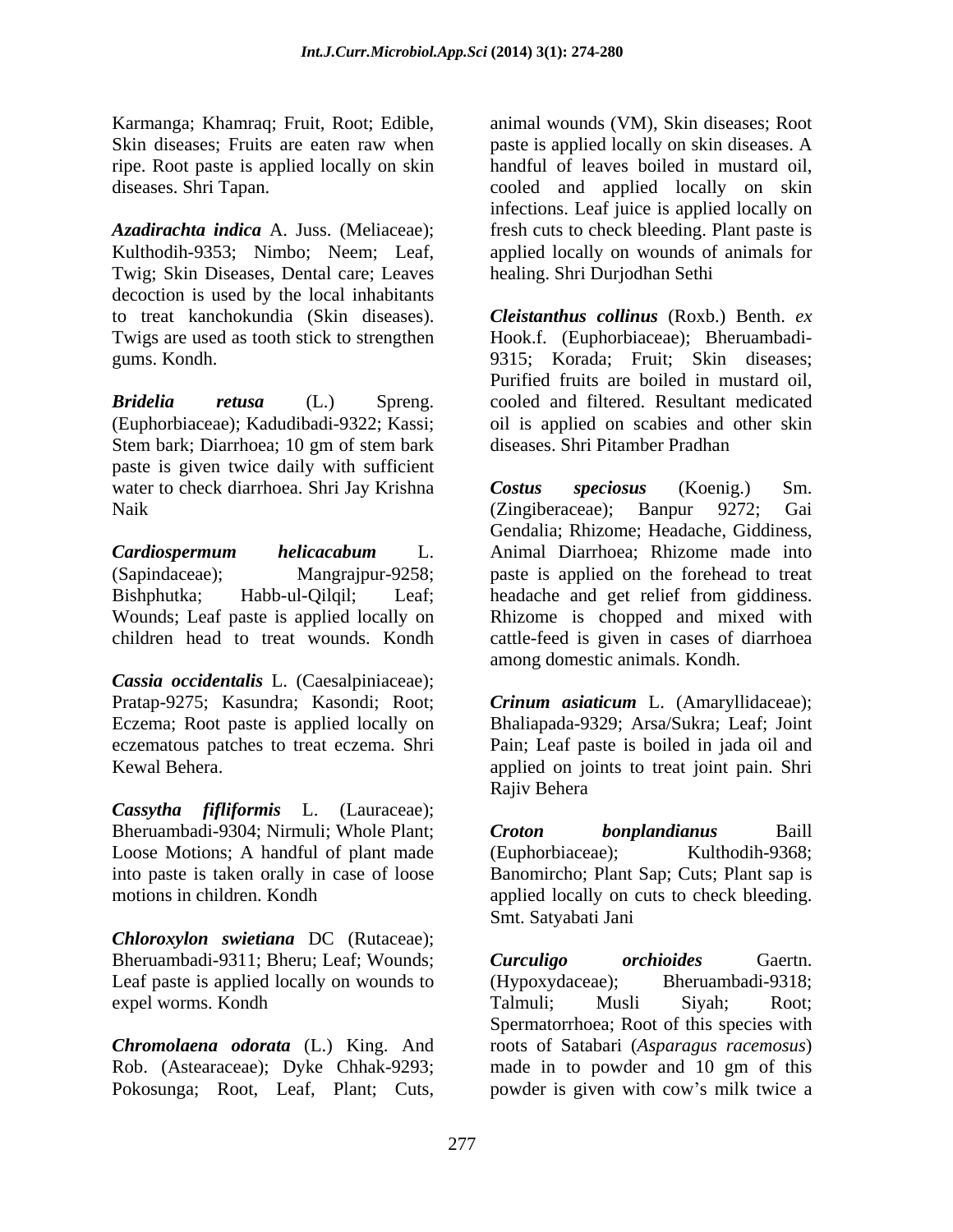ripe. Root paste is applied locally on skin

Twig; Skin Diseases, Dental care; Leaves decoction is used by the local inhabitants to treat kanchokundia (Skin diseases). Twigs are used as tooth stick to strengthen Hook.f. (Euphorbiaceae); Bheruambadi-

Stem bark; Diarrhoea; 10 gm of stem bark paste is given twice daily with sufficient water to check diarrhoea. Shri Jay Krishna Costus speciosus (Koenig.) Sm.

*Cassia occidentalis* L. (Caesalpiniaceae); Pratap-9275; Kasundra; Kasondi; Root; *Crinum asiaticum* L. (Amaryllidaceae); Eczema; Root paste is applied locally on eczematous patches to treat eczema. Shri Pain; Leaf paste is boiled in jada oil and

*Cassytha fifliformis* L. (Lauraceae); Bheruambadi-9304; Nirmuli; Whole Plant; Croton bonplandianus Baill Loose Motions; A handful of plant made (Euphorbiaceae); Kulthodih-9368; into paste is taken orally in case of loose Banomircho; Plant Sap; Cuts; Plant sap is motions in children. Kondh applied locally on cuts to check bleeding.

*Chloroxylon swietiana* DC (Rutaceae); Bheruambadi-9311; Bheru; Leaf; Wounds; Curculigo orchioides Gaertn. Leaf paste is applied locally on wounds to (Hypoxydaceae);

*Chromolaena odorata* (L.) King. And Rob. (Astearaceae); Dyke Chhak-9293; Pokosunga; Root, Leaf, Plant; Cuts, powder is given with cow's milk twice a

Karmanga; Khamraq; Fruit, Root; Edible, animal wounds (VM), Skin diseases; Root Skin diseases; Fruits are eaten raw when paste is applied locally on skin diseases. A diseases. Shri Tapan. cooled and applied locally on skin *Azadirachta indica* A. Juss. (Meliaceae); fresh cuts to check bleeding. Plant paste is Kulthodih-9353; Nimbo; Neem; Leaf, applied locally on wounds of animals for handful of leaves boiled in mustard oil, infections. Leaf juice is applied locally on healing. Shri Durjodhan Sethi

gums. Kondh. 9315; Korada; Fruit; Skin diseases; *Bridelia retusa* (L.) Spreng. cooled and filtered. Resultant medicated (Euphorbiaceae); Kadudibadi-9322; Kassi; oil is applied on scabies and other skin *Cleistanthus collinus* (Roxb.) Benth. *ex* Purified fruits are boiled in mustard oil, diseases. Shri Pitamber Pradhan

Naik CZingiberaceae); Banpur 9272; Gai *Cardiospermum helicacabum* L. (Sapindaceae); Mangrajpur-9258; paste is applied on the forehead to treat Bishphutka; Habb-ul-Qilqil; Leaf; headache and get relief from giddiness. Wounds; Leaf paste is applied locally on Rhizome is chopped and mixed with children head to treat wounds. Kondh cattle-feed is given in cases of diarrhoea *Costus speciosus* (Koenig.) Sm. (Zingiberaceae); Banpur 9272; Gai Gendalia; Rhizome; Headache, Giddiness, Animal Diarrhoea; Rhizome made into among domestic animals. Kondh.

Kewal Behera. applied on joints to treat joint pain. Shri Bhaliapada-9329; Arsa/Sukra; Leaf; Joint Rajiv Behera

> *Croton bonplandianus* Baill (Euphorbiaceae); Kulthodih-9368; Smt. Satyabati Jani

expel worms. Kondh *Curculigo orchioides* Gaertn. Bheruambadi-9318: Talmuli; Musli Siyah; Root; Spermatorrhoea; Root of this species with roots of Satabari (*Asparagus racemosus*) made in to powder and 10 gm of this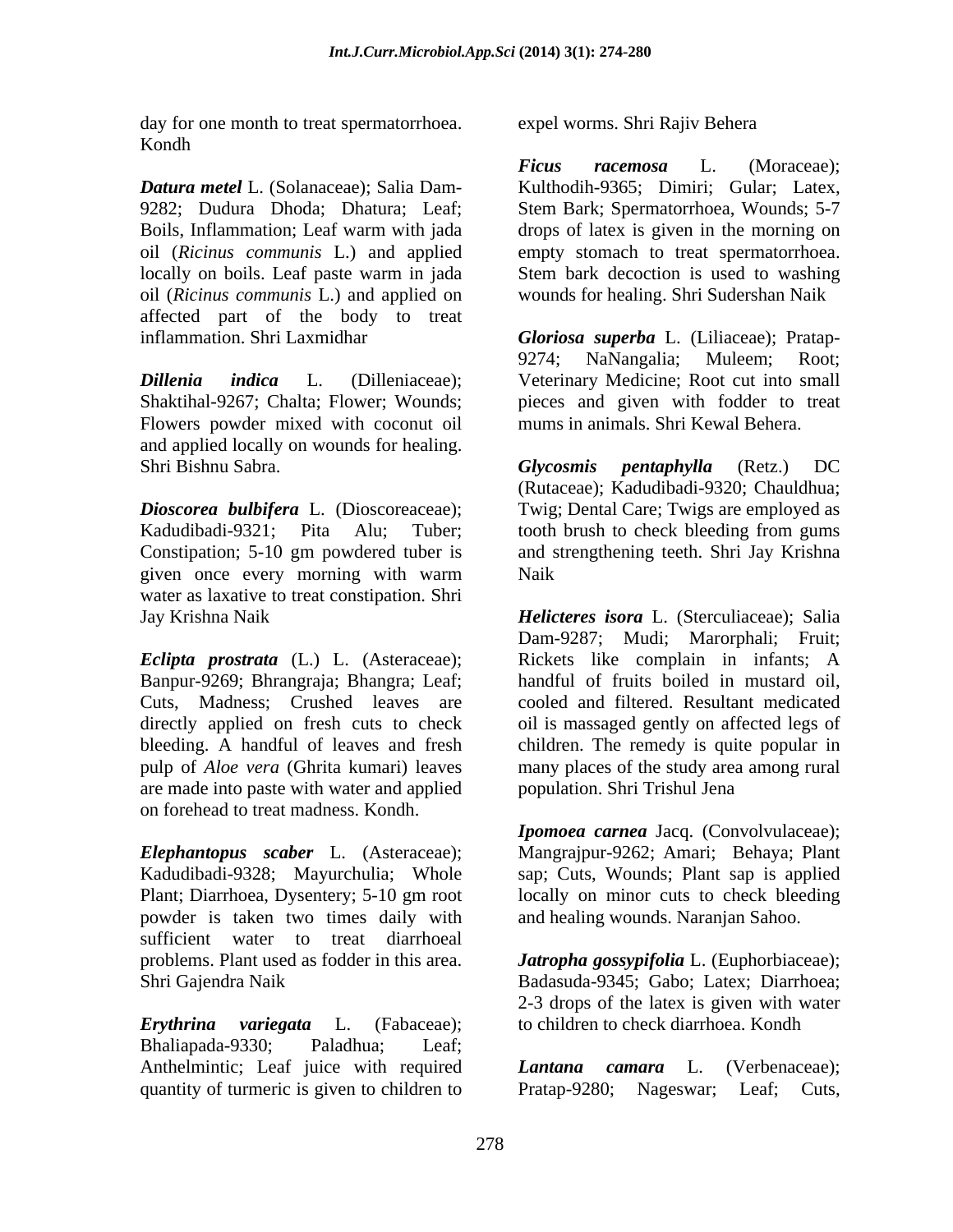day for one month to treat spermatorrhoea. Kondh

*Datura metel* L. (Solanaceae); Salia Dam- Kulthodih-9365; Dimiri; Gular; Latex, 9282; Dudura Dhoda; Dhatura; Leaf; Stem Bark; Spermatorrhoea, Wounds; 5-7 Boils, Inflammation; Leaf warm with jada drops of latex is given in the morning on oil (*Ricinus communis* L.) and applied empty stomach to treat spermatorrhoea. locally on boils. Leaf paste warm in jada oil (*Ricinus communis* L.) and applied on affected part of the body to treat inflammation. Shri Laxmidhar *Gloriosa superba* L. (Liliaceae); Pratap-

*Dillenia indica* L. (Dilleniaceae); Veterinary Medicine; Root cut into small Shaktihal-9267; Chalta; Flower; Wounds; pieces and given with fodder to treat Flowers powder mixed with coconut oil and applied locally on wounds for healing. Shri Bishnu Sabra. Glycosmis pentaphylla (Retz.) DC

*Dioscorea bulbifera* L. (Dioscoreaceae); Kadudibadi-9321; Pita Alu; Tuber; tooth brush to check bleeding from gums Constipation; 5-10 gm powdered tuber is and strengthening teeth. Shri Jay Krishna given once every morning with warm water as laxative to treat constipation. Shri

Banpur-9269; Bhrangraja; Bhangra; Leaf; Cuts, Madness; Crushed leaves are are made into paste with water and applied on forehead to treat madness. Kondh.

*Elephantopus scaber* L. (Asteraceae); Mangrajpur-9262; Amari; Behaya; Plant Kadudibadi-9328; Mayurchulia; Whole Plant; Diarrhoea, Dysentery; 5-10 gm root locally on minor cuts to check bleeding powder is taken two times daily with sufficient water to treat diarrhoeal problems. Plant used as fodder in this area. *Jatropha gossypifolia* L. (Euphorbiaceae);

*Erythrina variegata* L. (Fabaceae); to children to check diarrhoea. Kondh Bhaliapada-9330; Paladhua; Leaf; Anthelmintic; Leaf juice with required *Lantana camara* L. (Verbenaceae); quantity of turmeric is given to children to Pratap-9280; Nageswar; Leaf; Cuts,

expel worms. Shri Rajiv Behera

*Ficus racemosa* L. (Moraceae); Stem bark decoction is used to washing wounds for healing. Shri Sudershan Naik

9274; NaNangalia; Muleem; Root; mums in animals. Shri Kewal Behera.

*Glycosmis pentaphylla* (Retz.) DC (Rutaceae); Kadudibadi-9320; Chauldhua; Twig; Dental Care; Twigs are employed as Naik

Jay Krishna Naik *Helicteres isora* L. (Sterculiaceae); Salia *Eclipta prostrata* (L.) L. (Asteraceae); Rickets like complain in infants; A directly applied on fresh cuts to check oil is massaged gently on affected legs of bleeding. A handful of leaves and fresh children. The remedy is quite popular in pulp of *Aloe vera* (Ghrita kumari) leaves many places of the study area among rural Dam-9287; Mudi; Marorphali; Fruit; handful of fruits boiled in mustard oil, cooled and filtered. Resultant medicated population. Shri Trishul Jena

> *Ipomoea carnea* Jacq. (Convolvulaceae); sap; Cuts, Wounds; Plant sap is applied and healing wounds. Naranjan Sahoo.

Shri Gajendra Naik Badasuda-9345; Gabo; Latex; Diarrhoea; 2-3 drops of the latex is given with water

> *Lantana camara* L. (Verbenaceae); Pratap-9280; Nageswar; Leaf; Cuts,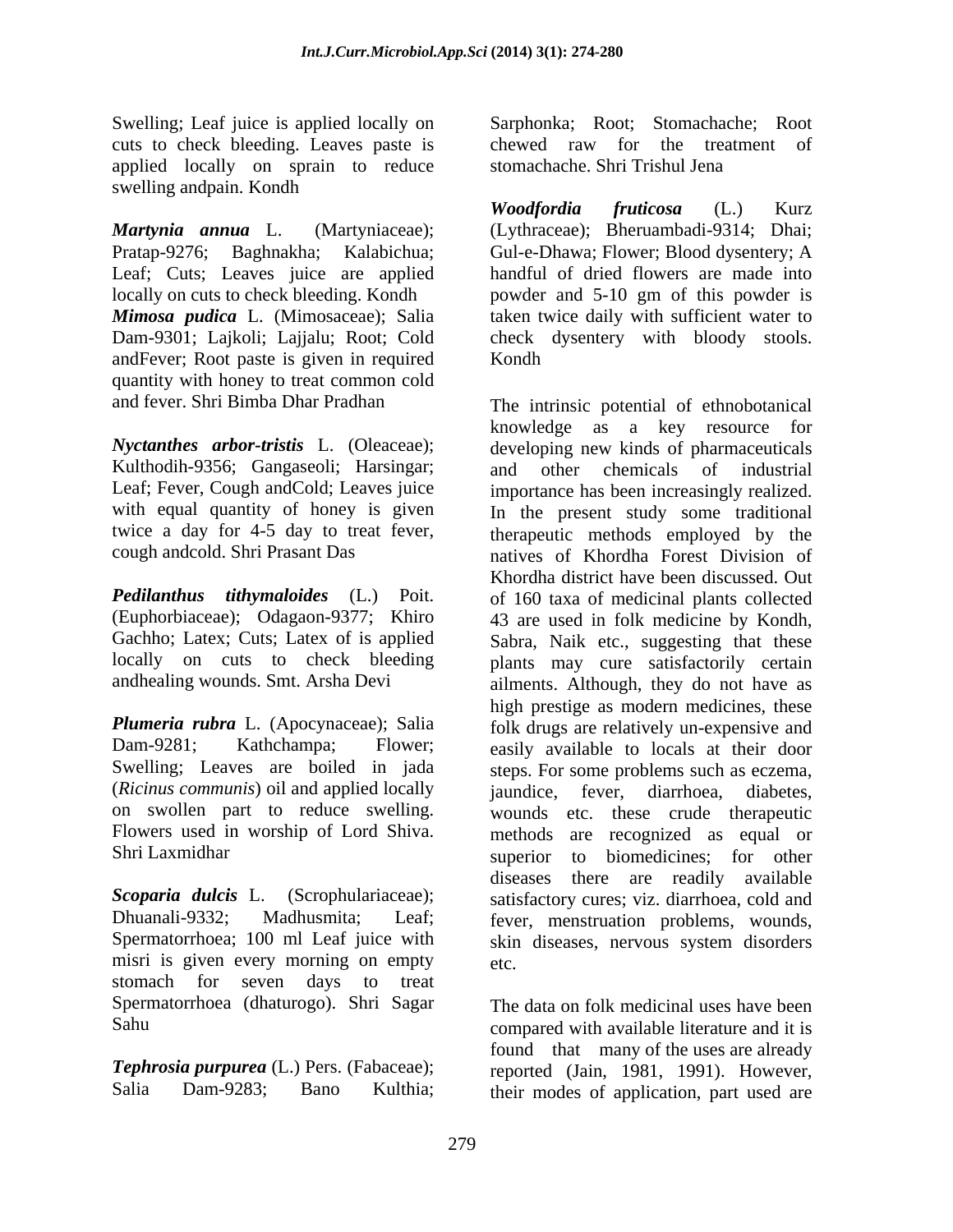cuts to check bleeding. Leaves paste is applied locally on sprain to reduce stomachache. Shri Trishul Jena swelling andpain. Kondh

Leaf; Cuts; Leaves juice are applied andFever; Root paste is given in required quantity with honey to treat common cold

Kulthodih-9356; Gangaseoli; Harsingar; and other chemicals of industrial with equal quantity of honey is given

(*Ricinus communis*) oil and applied locally iaundice, fever, diarrhoea, diabetes, on swollen part to reduce swelling. Flowers used in worship of Lord Shiva.

misri is given every morning on empty etc. stomach for seven days to treat Spermatorrhoea (dhaturogo). Shri Sagar

Swelling; Leaf juice is applied locally on Sarphonka; Root; Stomachache; Root chewed raw for the treatment of stomachache. Shri Trishul Jena

*Martynia annua* L. (Martyniaceae); (Lythraceae); Bheruambadi-9314; Dhai; Pratap-9276; Baghnakha; Kalabichua; Gul-e-Dhawa; Flower; Blood dysentery; A locally on cuts to check bleeding. Kondh powder and 5-10 gm of this powder is *Mimosa pudica* L. (Mimosaceae); Salia taken twice daily with sufficient water to Dam-9301; Lajkoli; Lajjalu; Root; Cold check dysentery with bloody stools. *Woodfordia fruticosa* (L.) Kurz handful of dried flowers are made into Kondh<sub>w</sub> and the second second second second second second second second second second second second second second second second second second second second second second second second second second second second second se

and fever. Shri Bimba Dhar Pradhan The intrinsic potential of ethnobotanical *Nyctanthes arbor-tristis* L. (Oleaceae); developing new kinds of pharmaceuticals Leaf; Fever, Cough and Cold; Leaves juice importance has been increasingly realized. twice a day for 4-5 day to treat fever, therapeutic methods employed by the cough andcold. Shri Prasant Das natives of Khordha Forest Division of *Pedilanthus tithymaloides* (L.) Poit. of 160 taxa of medicinal plants collected (Euphorbiaceae); Odagaon-9377; Khiro 43 are used in folk medicine by Kondh, Gachho; Latex; Cuts; Latex of is applied Sabra, Naik etc., suggesting that these locally on cuts to check bleeding plants may cure satisfactorily certain andhealing wounds. Smt. Arsha Devi ailments. Although, they do not have as *Plumeria rubra* L. (Apocynaceae); Salia folk drugs are relatively un-expensive and Dam-9281; Kathchampa; Flower; easily available to locals at their door Swelling; Leaves are boiled in jada steps. For some problems such as eczema, Shri Laxmidhar superior to biomedicines; for other Scoparia dulcis L. (Scrophulariaceae); satisfactory cures; viz. diarrhoea, cold and Dhuanali-9332; Madhusmita; Leaf; fever, menstruation problems, wounds, Spermatorrhoea; 100 ml Leaf juice with skin diseases, nervous system disorders knowledge as a key resource for and other chemicals In the present study some traditional Khordha district have been discussed. Out high prestige as modern medicines, these jaundice, fever, diarrhoea, diabetes, wounds etc. these crude therapeutic methods are recognized as equal or diseases there are readily available etc.

Sahu  $\blacksquare$ *Tephrosia purpurea* (L.) Pers. (Fabaceae); reported (Jain, 1981, 1991). However, Salia Dam-9283; Bano Kulthia; their modes of application, part used areThe data on folk medicinal uses have been found that many of the uses are already